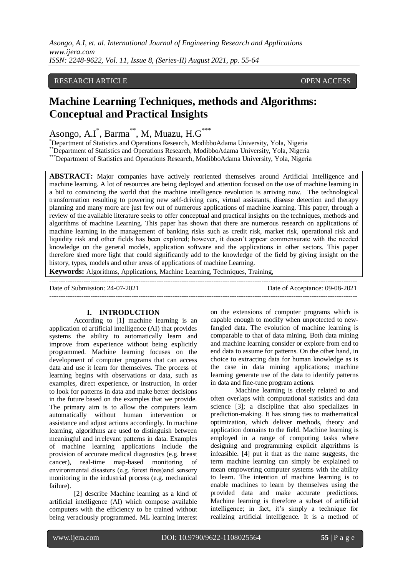*Asongo, A.I, et. al. International Journal of Engineering Research and Applications www.ijera.com ISSN: 2248-9622, Vol. 11, Issue 8, (Series-II) August 2021, pp. 55-64*

# RESEARCH ARTICLE **CONSERVERS** OPEN ACCESS

# **Machine Learning Techniques, methods and Algorithms: Conceptual and Practical Insights**

Asongo, A.I<sup>\*</sup>, Barma<sup>\*\*</sup>, M, Muazu, H.G<sup>\*\*\*</sup>

\*Department of Statistics and Operations Research, ModibboAdama University, Yola, Nigeria

\*\*Department of Statistics and Operations Research, ModibboAdama University, Yola, Nigeria

\*\*\*Department of Statistics and Operations Research, ModibboAdama University, Yola, Nigeria

**ABSTRACT:** Major companies have actively reoriented themselves around Artificial Intelligence and machine learning. A lot of resources are being deployed and attention focused on the use of machine learning in a bid to convincing the world that the machine intelligence revolution is arriving now. The technological transformation resulting to powering new self-driving cars, virtual assistants, disease detection and therapy planning and many more are just few out of numerous applications of machine learning. This paper, through a review of the available literature seeks to offer conceptual and practical insights on the techniques, methods and algorithms of machine Learning. This paper has shown that there are numerous research on applications of machine learning in the management of banking risks such as credit risk, market risk, operational risk and liquidity risk and other fields has been explored; however, it doesn't appear commensurate with the needed knowledge on the general models, application software and the applications in other sectors. This paper therefore shed more light that could significantly add to the knowledge of the field by giving insight on the history, types, models and other areas of applications of machine Learning.

**Keywords:** Algorithms, Applications, Machine Learning, Techniques, Training,

--------------------------------------------------------------------------------------------------------------------------------------- Date of Submission: 24-07-2021 Date of Acceptance: 09-08-2021 ---------------------------------------------------------------------------------------------------------------------------------------

## **I. INTRODUCTION**

According to [1] machine learning is an application of artificial intelligence (AI) that provides systems the ability to automatically learn and improve from experience without being explicitly programmed. Machine learning focuses on the development of computer programs that can access data and use it learn for themselves. The process of learning begins with observations or data, such as examples, direct experience, or instruction, in order to look for patterns in data and make better decisions in the future based on the examples that we provide. The primary aim is to allow the computers learn automatically without human intervention or assistance and adjust actions accordingly. In machine learning, algorithms are used to distinguish between meaningful and irrelevant patterns in data. Examples of machine learning applications include the provision of accurate medical diagnostics (e.g. breast cancer), real-time map-based monitoring of environmental disasters (e.g. forest fires)and sensory monitoring in the industrial process (e.g. mechanical failure).

[2] describe Machine learning as a kind of artificial intelligence (AI) which compose available computers with the efficiency to be trained without being veraciously programmed. ML learning interest on the extensions of computer programs which is capable enough to modify when unprotected to newfangled data. The evolution of machine learning is comparable to that of data mining. Both data mining and machine learning consider or explore from end to end data to assume for patterns. On the other hand, in choice to extracting data for human knowledge as is the case in data mining applications; machine learning generate use of the data to identify patterns in data and fine-tune program actions.

Machine learning is closely related to and often overlaps with computational statistics and data science [3]; a discipline that also specializes in prediction-making. It has strong ties to mathematical optimization, which deliver methods, theory and application domains to the field. Machine learning is employed in a range of computing tasks where designing and programming explicit algorithms is infeasible. [4] put it that as the name suggests, the term machine learning can simply be explained to mean empowering computer systems with the ability to learn. The intention of machine learning is to enable machines to learn by themselves using the provided data and make accurate predictions. Machine learning is therefore a subset of artificial intelligence; in fact, it's simply a technique for realizing artificial intelligence. It is a method of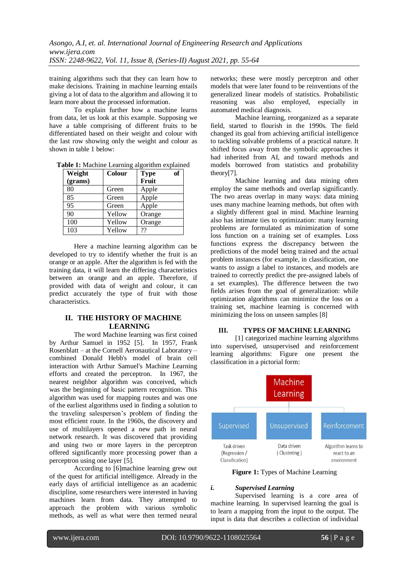training algorithms such that they can learn how to make decisions. Training in machine learning entails giving a lot of data to the algorithm and allowing it to learn more about the processed information.

To explain further how a machine learns from data, let us look at this example. Supposing we have a table comprising of different fruits to be differentiated based on their weight and colour with the last row showing only the weight and colour as shown in table 1 below:

| Weight  | <b>Colour</b> | оf<br><b>Type</b> |  |
|---------|---------------|-------------------|--|
| (grams) |               | Fruit             |  |
| 80      | Green         | Apple             |  |
| 85      | Green         | Apple             |  |
| 95      | Green         | Apple             |  |
| 90      | Yellow        | Orange            |  |
| 100     | Yellow        | Orange            |  |
| 103     | Yellow        | ??                |  |

**Table 1:** Machine Learning algorithm explained

Here a machine learning algorithm can be developed to try to identify whether the fruit is an orange or an apple. After the algorithm is fed with the training data, it will learn the differing characteristics between an orange and an apple. Therefore, if provided with data of weight and colour, it can predict accurately the type of fruit with those characteristics.

# **II. THE HISTORY OF MACHINE LEARNING**

The word Machine learning was first coined by Arthur Samuel in 1952 [5]. In 1957, Frank Rosenblatt – at the Cornell Aeronautical Laboratory – combined Donald Hebb's model of brain cell interaction with Arthur Samuel's Machine Learning efforts and created the perceptron. In 1967, the nearest neighbor algorithm was conceived, which was the beginning of basic pattern recognition. This algorithm was used for mapping routes and was one of the earliest algorithms used in finding a solution to the traveling salesperson's problem of finding the most efficient route. In the 1960s, the discovery and use of multilayers opened a new path in neural network research. It was discovered that providing and using two or more layers in the perceptron offered significantly more processing power than a perceptron using one layer [5].

According to [6]machine learning grew out of the quest for artificial intelligence. Already in the early days of artificial intelligence as an academic discipline, some researchers were interested in having machines learn from data. They attempted to approach the problem with various symbolic methods, as well as what were then termed neural

networks; these were mostly perceptron and other models that were later found to be reinventions of the generalized linear models of statistics. Probabilistic reasoning was also employed, especially in automated medical diagnosis.

Machine learning, reorganized as a separate field, started to flourish in the 1990s. The field changed its goal from achieving artificial intelligence to tackling solvable problems of a practical nature. It shifted focus away from the symbolic approaches it had inherited from AI, and toward methods and models borrowed from statistics and probability theory[7].

Machine learning and data mining often employ the same methods and overlap significantly. The two areas overlap in many ways: data mining uses many machine learning methods, but often with a slightly different goal in mind. Machine learning also has intimate ties to optimization: many learning problems are formulated as minimization of some loss function on a training set of examples. Loss functions express the discrepancy between the predictions of the model being trained and the actual problem instances (for example, in classification, one wants to assign a label to instances, and models are trained to correctly predict the pre-assigned labels of a set examples). The difference between the two fields arises from the goal of generalization: while optimization algorithms can minimize the loss on a training set, machine learning is concerned with minimizing the loss on unseen samples [8]

## **III. TYPES OF MACHINE LEARNING**

[1] categorized machine learning algorithms into supervised, unsupervised and reinforcement learning algorithms: Figure one present the classification in a pictorial form:



**Figure 1:** Types of Machine Learning

## *i. Supervised Learning*

Supervised learning is a core area of machine learning. In supervised learning the goal is to learn a mapping from the input to the output. The input is data that describes a collection of individual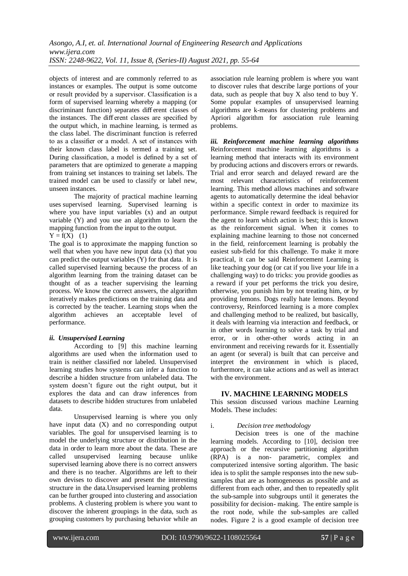objects of interest and are commonly referred to as instances or examples. The output is some outcome or result provided by a supervisor. Classification is a form of supervised learning whereby a mapping (or discriminant function) separates diff erent classes of the instances. The diff erent classes are specified by the output which, in machine learning, is termed as the class label. The discriminant function is referred to as a classifier or a model. A set of instances with their known class label is termed a training set. During classification, a model is defined by a set of parameters that are optimized to generate a mapping from training set instances to training set labels. The trained model can be used to classify or label new, unseen instances.

The majority of practical machine learning uses supervised learning. Supervised learning is where you have input variables (x) and an output variable (Y) and you use an algorithm to learn the mapping function from the input to the output.  $Y = f(X)$  (1)

The goal is to approximate the mapping function so well that when you have new input data (x) that you can predict the output variables (Y) for that data. It is called supervised learning because the process of an algorithm learning from the training dataset can be thought of as a teacher supervising the learning process. We know the correct answers, the algorithm iteratively makes predictions on the training data and is corrected by the teacher. Learning stops when the algorithm achieves an acceptable level of performance.

## *ii. Unsupervised Learning*

According to [9] this machine learning algorithms are used when the information used to train is neither classified nor labeled. Unsupervised learning studies how systems can infer a function to describe a hidden structure from unlabeled data. The system doesn't figure out the right output, but it explores the data and can draw inferences from datasets to describe hidden structures from unlabeled data.

Unsupervised learning is where you only have input data (X) and no corresponding output variables. The goal for unsupervised learning is to model the underlying structure or distribution in the data in order to learn more about the data. These are called unsupervised learning because unlike supervised learning above there is no correct answers and there is no teacher. Algorithms are left to their own devises to discover and present the interesting structure in the data.Unsupervised learning problems can be further grouped into clustering and association problems. A clustering problem is where you want to discover the inherent groupings in the data, such as grouping customers by purchasing behavior while an

association rule learning problem is where you want to discover rules that describe large portions of your data, such as people that buy  $X$  also tend to buy  $Y$ . Some popular examples of unsupervised learning algorithms are k-means for clustering problems and Apriori algorithm for association rule learning problems.

*iii. Reinforcement machine learning algorithms* Reinforcement machine learning algorithms is a learning method that interacts with its environment by producing actions and discovers errors or rewards. Trial and error search and delayed reward are the most relevant characteristics of reinforcement learning. This method allows machines and software agents to automatically determine the ideal behavior within a specific context in order to maximize its performance. Simple reward feedback is required for the agent to learn which action is best; this is known as the reinforcement signal. When it comes to explaining machine learning to those not concerned in the field, reinforcement learning is probably the easiest sub-field for this challenge. To make it more practical, it can be said Reinforcement Learning is like teaching your dog (or cat if you live your life in a challenging way) to do tricks: you provide goodies as a reward if your pet performs the trick you desire, otherwise, you punish him by not treating him, or by providing lemons. Dogs really hate lemons. Beyond controversy, Reinforced learning is a more complex and challenging method to be realized, but basically, it deals with learning via interaction and feedback, or in other words learning to solve a task by trial and error, or in other-other words acting in an environment and receiving rewards for it. Essentially an agent (or several) is built that can perceive and interpret the environment in which is placed, furthermore, it can take actions and as well as interact with the environment.

# **IV. MACHINE LEARNING MODELS**

This session discussed various machine Learning Models. These includes:

## i. *Decision tree methodology*

Decision trees is one of the machine learning models. According to [10], decision tree approach or the recursive partitioning algorithm (RPA) is a non- parametric, complex and computerized intensive sorting algorithm. The basic idea is to split the sample responses into the new subsamples that are as homogeneous as possible and as different from each other, and then to repeatedly split the sub-sample into subgroups until it generates the possibility for decision- making. The entire sample is the root node, while the sub-samples are called nodes. Figure 2 is a good example of decision tree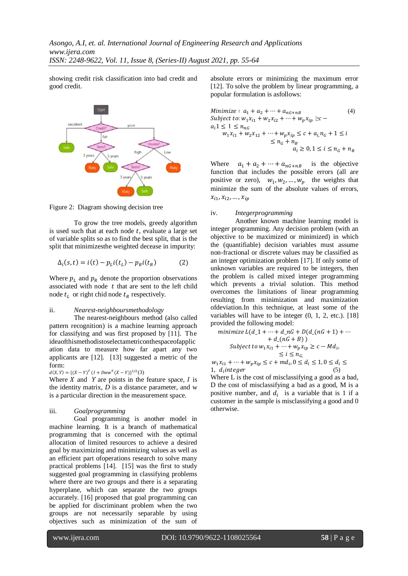showing credit risk classification into bad credit and good credit.



Figure 2: Diagram showing decision tree

To grow the tree models, greedy algorithm is used such that at each node  $t$ , evaluate a large set of variable splits so as to find the best split, that is the split that minimizesthe weighted decease in impurity:

$$
\Delta_i(s,t) = i(t) - p_L i(t_L) - p_R i(t_R) \tag{2}
$$

Where  $p_L$  and  $p_R$  denote the proportion observations associated with node  $t$  that are sent to the left child node  $t_L$  or right chid node  $t_R$  respectively.

#### ii. *Nearest-neighboursmethodology*

The nearest-neighbours method (also called pattern recognition) is a machine learning approach for classifying and was first proposed by [11]. The ideaofthismethodistoselectametriconthespaceofapplic ation data to measure how far apart any two applicants are [12]. [13] suggested a metric of the form:

 $d(X,Y) = \{(X-Y)^T (I + DWW^T (X-Y)\}^{1/2} (3)$ 

Where  $X$  and  $Y$  are points in the feature space,  $I$  is the identity matrix, *D* is a distance parameter, and w is a particular direction in the measurement space.

#### iii. *Goalprogramming*

Goal programming is another model in machine learning. It is a branch of mathematical programming that is concerned with the optimal allocation of limited resources to achieve a desired goal by maximizing and minimizing values as well as an efficient part ofoperations research to solve many practical problems [14]. [15] was the first to study suggested goal programming in classifying problems where there are two groups and there is a separating hyperplane, which can separate the two groups accurately. [16] proposed that goal programming can be applied for discriminant problem when the two groups are not necessarily separable by using objectives such as minimization of the sum of

absolute errors or minimizing the maximum error [12]. To solve the problem by linear programming, a popular formulation is asfollows:

Minimize: 
$$
a_1 + a_2 + \cdots + a_{nG+nB}
$$
 (4)  
\nSubject to:  $w_1x_{i1} + w_2x_{i2} + \cdots + w_px_{ip} \ge c -$   
\n $a_i 1 \le 1 \le n_{nG}$   
\n $w_1x_{i1} + w_2x_{12} + \cdots + w_px_{ip} \le c + a_{i,nG} + 1 \le i$   
\n $\le n_G + n_B$   
\n $a_i \ge 0, 1 \le i \le n_G + n_B$ 

Where  $a_1 + a_2 + \cdots + a_{nG+nB}$  is the objective function that includes the possible errors (all are positive or zero),  $w_1, w_2, ..., w_p$  the weights that minimize the sum of the absolute values of errors,  $x_{i1}, x_{i2}$ 

#### iv. *Integerprogramming*

Another known machine learning model is integer programming. Any decision problem (with an objective to be maximized or minimized) in which the (quantifiable) decision variables must assume non-fractional or discrete values may be classified as an integer optimization problem [17]. If only some of unknown variables are required to be integers, then the problem is called mixed integer programming which prevents a trivial solution. This method overcomes the limitations of linear programming resulting from minimization and maximization ofdeviation.In this technique, at least some of the variables will have to be integer (0, 1, 2, etc.). [18] provided the following model:

$$
\begin{aligned}\n\text{minimize } L(d_1 + \dots + d_n G + D(d_n G + 1) + \dots \\
&\quad + d_n G + B) \\
\text{Subject to } w_1 x_{i1} + \dots + w_p x_{ip} \ge c - M d_i, \\
&\quad \le i \le n_G, \\
x_{i1} + \dots + w_i x_{i2} < c + m d_i, 0 < d_i < 1, 0 < d_i < n_G.\n\end{aligned}
$$

 $w_1 x_{i1} +$  $\cdots + w_p x_{ip} \le c + m d_i, 0 \le d_i \le 1, 0 \le d_i \le$ 1,  $d_i$  integer (5)

Where L is the cost of misclassifying a good as a bad, D the cost of misclassifying a bad as a good, M is a positive number, and  $d_i$  is a variable that is 1 if a customer in the sample is misclassifying a good and 0 otherwise.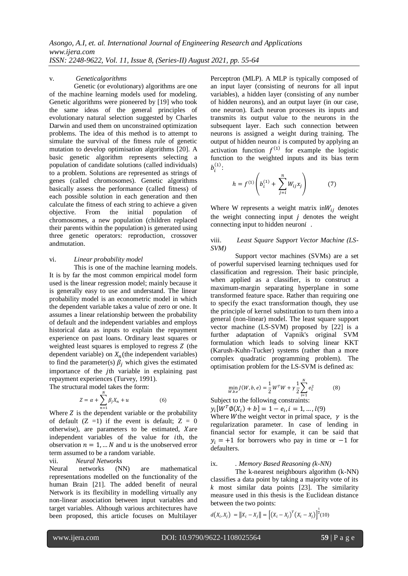#### v. *Geneticalgorithms*

Genetic (or evolutionary) algorithms are one of the machine learning models used for modeling. Genetic algorithms were pioneered by [19] who took the same ideas of the general principles of evolutionary natural selection suggested by Charles Darwin and used them on unconstrained optimization problems. The idea of this method is to attempt to simulate the survival of the fitness rule of genetic mutation to develop optimisation algorithms [20]. A basic genetic algorithm represents selecting a population of candidate solutions (called individuals) to a problem. Solutions are represented as strings of genes (called chromosomes). Genetic algorithms basically assess the performance (called fitness) of each possible solution in each generation and then calculate the fitness of each string to achieve a given objective. From the initial population of chromosomes, a new population (children replaced their parents within the population) is generated using three genetic operators: reproduction, crossover andmutation.

#### vi. *Linear probability model*

This is one of the machine learning models. It is by far the most common empirical model form used is the linear regression model; mainly because it is generally easy to use and understand. The linear probability model is an econometric model in which the dependent variable takes a value of zero or one. It assumes a linear relationship between the probability of default and the independent variables and employs historical data as inputs to explain the repayment experience on past loans. Ordinary least squares or weighted least squares is employed to regress  $Z$  (the dependent variable) on  $X_n$ (the independent variables) to find the parameter(s)  $\beta_i$  which gives the estimated importance of the *j*th variable in explaining past repayment experiences (Turvey, 1991).

The structural model takes the form:

$$
Z = \alpha + \sum_{n=1}^{N} \beta_j X_n + u \tag{6}
$$

Where  $Z$  is the dependent variable or the probability of default  $(Z =1)$  if the event is default;  $Z = 0$ otherwise), are parameters to be estimated, Xare independent variables of the value for th, the observation  $n = 1, ... N$  and u is the unobserved error term assumed to be a random variable.

#### vii. *Neural Networks*

Neural networks (NN) are mathematical representations modelled on the functionality of the human Brain [21]. The added benefit of neural Network is its flexibility in modelling virtually any non-linear association between input variables and target variables. Although various architectures have been proposed, this article focuses on Multilayer

Perceptron (MLP). A MLP is typically composed of an input layer (consisting of neurons for all input variables), a hidden layer (consisting of any number of hidden neurons), and an output layer (in our case, one neuron). Each neuron processes its inputs and transmits its output value to the neurons in the subsequent layer. Each such connection between neurons is assigned a weight during training. The output of hidden neuron  $i$  is computed by applying an activation function  $f^{(1)}$  for example the logistic function to the weighted inputs and its bias term  $b_i^{(1)}$ :

$$
h = f^{(1)}\left(b_i^{(1)} + \sum_{j=i}^{n} W_{ij} x_j\right) \tag{7}
$$

Where W represents a weight matrix in  $W_{ij}$  denotes the weight connecting input  $i$  denotes the weight connecting input to hidden neuron $i$ .

#### viii. *Least Square Support Vector Machine (LS-SVM)*

Support vector machines (SVMs) are a set of powerful supervised learning techniques used for classification and regression. Their basic principle, when applied as a classifier, is to construct a maximum-margin separating hyperplane in some transformed feature space. Rather than requiring one to specify the exact transformation though, they use the principle of kernel substitution to turn them into a general (non-linear) model. The least square support vector machine (LS-SVM) proposed by [22] is a further adaptation of Vapnik's original SVM formulation which leads to solving linear KKT (Karush-Kuhn-Tucker) systems (rather than a more complex quadratic programming problem). The optimisation problem for the LS-SVM is defined as:

$$
\min_{W.b.e} J(W, b, e) = \frac{1}{2} W^T W + \gamma \frac{1}{2} \sum_{i=1}^{N} e_i^2
$$
 (8)

Subject to the following constraints:

 $y_i[W^T\emptyset(X_i) + b] = 1 - e_i, i = 1, ..., l(9)$ 

Where W the weight vector in primal space,  $\gamma$  is the regularization parameter. In case of lending in financial sector for example, it can be said that  $y_i = +1$  for borrowers who pay in time or  $-1$  for defaulters.

#### ix. *. Memory Based Reasoning (k-NN)*

The k-nearest neighbours algorithm (k-NN) classifies a data point by taking a majority vote of its *k* most similar data points [23]. The similarity measure used in this thesis is the Euclidean distance between the two points:

$$
d(X_i, X_j) = ||X_i - X_j|| = [(X_i - X_j)^T (X_i - X_j)]^{\frac{1}{2}} (10)
$$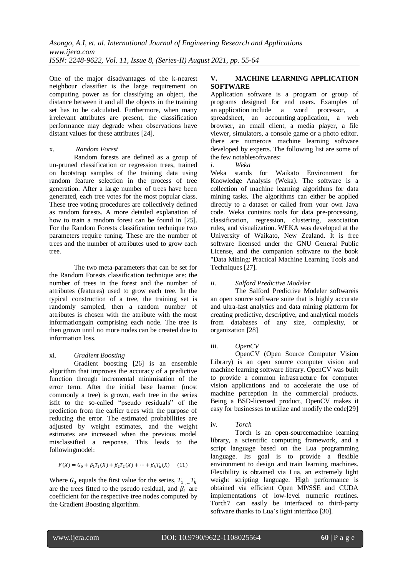One of the major disadvantages of the k-nearest neighbour classifier is the large requirement on computing power as for classifying an object, the distance between it and all the objects in the training set has to be calculated. Furthermore, when many irrelevant attributes are present, the classification performance may degrade when observations have distant values for these attributes [24].

## x. *Random Forest*

Random forests are defined as a group of un-pruned classification or regression trees, trained on bootstrap samples of the training data using random feature selection in the process of tree generation. After a large number of trees have been generated, each tree votes for the most popular class. These tree voting procedures are collectively defined as random forests. A more detailed explanation of how to train a random forest can be found in [25]. For the Random Forests classification technique two parameters require tuning. These are the number of trees and the number of attributes used to grow each tree.

The two meta-parameters that can be set for the Random Forests classification technique are: the number of trees in the forest and the number of attributes (features) used to grow each tree. In the typical construction of a tree, the training set is randomly sampled, then a random number of attributes is chosen with the attribute with the most informationgain comprising each node. The tree is then grown until no more nodes can be created due to information loss.

## xi. *Gradient Boosting*

Gradient boosting [26] is an ensemble algorithm that improves the accuracy of a predictive function through incremental minimisation of the error term. After the initial base learner (most commonly a tree) is grown, each tree in the series isfit to the so-called "pseudo residuals" of the prediction from the earlier trees with the purpose of reducing the error. The estimated probabilities are adjusted by weight estimates, and the weight estimates are increased when the previous model misclassified a response. This leads to the followingmodel:

$$
F(X) = G_0 + \beta_1 T_1(X) + \beta_2 T_2(X) + \dots + \beta_k T_k(X) \tag{11}
$$

Where  $G_0$  equals the first value for the series,  $T_1 \dots T_k$ are the trees fitted to the pseudo residual, and  $\beta_i$  are coefficient for the respective tree nodes computed by the Gradient Boosting algorithm.

# **V. MACHINE LEARNING APPLICATION SOFTWARE**

Application software is a program or group of programs designed for end users. Examples of an application include a word processor, a spreadsheet, an accounting application, a web browser, an email client, a media player, a file viewer, simulators, a console game or a photo editor. there are numerous machine learning software developed by experts. The following list are some of the few notablesoftwares:

## *i. Weka*

Weka stands for Waikato Environment for Knowledge Analysis (Weka). The software is a collection of machine learning algorithms for data mining tasks. The algorithms can either be applied directly to a dataset or called from your own Java code. Weka contains tools for data pre-processing, classification, regression, clustering, association rules, and visualization. WEKA was developed at the [University of Waikato,](https://en.wikipedia.org/wiki/University_of_Waikato) [New Zealand.](https://en.wikipedia.org/wiki/New_Zealand) It is [free](https://en.wikipedia.org/wiki/Free_software)  [software](https://en.wikipedia.org/wiki/Free_software) licensed under the [GNU General Public](https://en.wikipedia.org/wiki/GNU_General_Public_License)  [License,](https://en.wikipedia.org/wiki/GNU_General_Public_License) and the companion software to the book "Data Mining: Practical Machine Learning Tools and Techniques [27].

# *ii. Salford Predictive Modeler*

The Salford Predictive Modeler softwareis an open source software suite that is highly accurate and ultra-fast analytics and data mining platform for creating predictive, descriptive, and analytical models from databases of any size, complexity, or organization [28]

# iii. *OpenCV*

OpenCV (Open Source Computer Vision Library) is an open source computer vision and machine learning software library. OpenCV was built to provide a common infrastructure for computer vision applications and to accelerate the use of machine perception in the commercial products. Being a BSD-licensed product, OpenCV makes it easy for businesses to utilize and modify the code[29]

# iv. *Torch*

Torch is an [open-sourcemachine learning](https://en.wikipedia.org/wiki/Open-source_software) library, a [scientific computing](https://en.wikipedia.org/wiki/Scientific_computing) framework, and a [script language](https://en.wikipedia.org/wiki/Script_language) based on the [Lua](https://en.wikipedia.org/wiki/Lua_(programming_language)) programming language. Its goal is to provide a flexible environment to design and train learning machines. Flexibility is obtained via Lua, an extremely light weight scripting language. High performance is obtained via efficient Open MP/SSE and CUDA implementations of low-level numeric routines. Torch7 can easily be interfaced to third-party software thanks to Lua's light interface [30].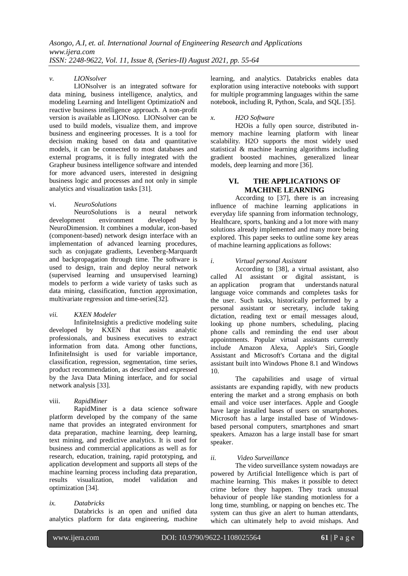## *v. LIONsolver*

LIONsolver is an integrated software for [data mining,](https://en.wikipedia.org/wiki/Data_mining) [business intelligence,](https://en.wikipedia.org/wiki/Business_intelligence) [analytics,](https://en.wikipedia.org/wiki/Analytics) and [modeling](https://en.wikipedia.org/wiki/Modeling_and_simulation) Learning and Intelligent OptimizatioN and [reactive business intelligence](https://en.wikipedia.org/wiki/Reactive_business_intelligence) approach. A non-profit version is available as LIONoso. LIONsolver can be used to build models, visualize them, and improve business and engineering processes. It is a tool for decision making based on data and quantitative models, it can be connected to most databases and external programs, it is fully integrated with the [Grapheur](https://en.wikipedia.org/wiki/Grapheur) business intelligence software and intended for more advanced users, interested in designing business logic and processes and not only in simple analytics and visualization tasks [31].

# vi. *NeuroSolutions*

NeuroSolutions is a [neural network](https://en.wikipedia.org/wiki/Neural_network)<br>nent environment developed by development environment developed by [NeuroDimension.](https://en.wikipedia.org/wiki/NeuroDimension) It combines a modular, icon-based [\(component-based\)](https://en.wikipedia.org/wiki/Component-based) network design interface with an implementation of advanced learning procedures, such as conjugate gradients, Levenberg-Marquardt and backpropagation through time. The software is used to design, train and deploy [neural network](https://en.wikipedia.org/wiki/Neural_network) [\(supervised learning](https://en.wikipedia.org/wiki/Supervised_learning) and [unsupervised learning\)](https://en.wikipedia.org/wiki/Unsupervised_learning) models to perform a wide variety of tasks such as [data mining,](https://en.wikipedia.org/wiki/Data_mining) [classification,](https://en.wikipedia.org/wiki/Statistical_classification) [function approximation,](https://en.wikipedia.org/wiki/Function_approximation) [multivariate regression](https://en.wikipedia.org/wiki/Multivariate_regression) an[d time-series\[](https://en.wikipedia.org/w/index.php?title=Time-series_prediction&action=edit&redlink=1)32].

## *vii. KXEN Modeler*

InfiniteInsightis a [predictive modeling](https://en.wikipedia.org/wiki/Predictive_modeling) suite developed by KXEN that assists analytic professionals, and business executives to extract information from data. Among other functions, InfiniteInsight is used for variable importance, [classification,](https://en.wikipedia.org/wiki/Statistical_classification) [regression,](https://en.wikipedia.org/wiki/Regression_analysis) [segmentation,](https://en.wikipedia.org/wiki/Market_segmentation) [time series,](https://en.wikipedia.org/wiki/Time_series) [product recommendation,](https://en.wikipedia.org/wiki/Association_rule_learning) as described and expressed by the [Java Data Mining](https://en.wikipedia.org/wiki/Java_Data_Mining) interface, and for [social](https://en.wikipedia.org/wiki/Social_network_analysis)  [network analysis](https://en.wikipedia.org/wiki/Social_network_analysis) [33].

## viii. *RapidMiner*

RapidMiner is a [data science](https://en.wikipedia.org/wiki/Data_science) software platform developed by the company of the same name that provides an integrated environment for [data preparation,](https://en.wikipedia.org/wiki/Data_pre-processing) [machine learning,](https://en.wikipedia.org/wiki/Machine_learning) [deep learning,](https://en.wikipedia.org/wiki/Deep_learning) [text mining,](https://en.wikipedia.org/wiki/Text_mining) [and predictive analytics.](https://en.wikipedia.org/wiki/Predictive_analytics) It is used for business and commercial applications as well as for research, education, training, rapid prototyping, and application development and supports all steps of the machine learning process including data preparation, results [visualization,](https://en.wikipedia.org/wiki/Information_visualization) model validation and optimization [34].

# *ix. Databricks*

Databricks is an open and unified data analytics platform for data engineering, machine learning, and analytics. Databricks enables data exploration using interactive notebooks with support for multiple programming languages within the same notebook, including R, Python, Scala, and SQL [35].

# *x. H2O Software*

H2Ois a fully open source, distributed inmemory machine learning platform with linear scalability. H2O supports the most widely used statistical & machine learning algorithms including gradient boosted machines, generalized linear models, deep learning and more [36].

# **VI. THE APPLICATIONS OF MACHINE LEARNING**

According to [37], there is an increasing influence of machine learning applications in everyday life spanning from information technology, Healthcare, sports, banking and a lot more with many solutions already implemented and many more being explored. This paper seeks to outline some key areas of machine learning applications as follows:

# *i. Virtual personal Assistant*

According to [38], a virtual assistant, also called AI assistant or digital assistant, is<br>an application program that understands natural [understands](https://searchenterpriseai.techtarget.com/feature/Natural-language-processing-drives-conversational-AI-trends) natural [language](https://searchenterpriseai.techtarget.com/feature/Natural-language-processing-drives-conversational-AI-trends) voice commands and completes tasks for the user. Such tasks, historically performed by a personal assistant or secretary, include taking dictation, reading text or email messages aloud, looking up phone numbers, scheduling, placing phone calls and reminding the end user about appointments. Popular virtual assistants currently include Amazon [Alexa,](https://whatis.techtarget.com/definition/Alexa-Voice-Services-AVS) Apple's [Siri,](https://searchmobilecomputing.techtarget.com/definition/Siri) [Google](https://whatis.techtarget.com/definition/Google-Now)  [Assistant](https://whatis.techtarget.com/definition/Google-Now) and Microsoft's [Cortana](https://searchenterprisedesktop.techtarget.com/definition/Cortana) and the digital assistant built into Windows Phone 8.1 and Windows 10.

The capabilities and usage of virtual assistants are expanding rapidly, with new products entering the market and a strong emphasis on both email and [voice user interfaces.](https://en.wikipedia.org/wiki/Voice_user_interface) Apple and Google have large installed bases of users on [smartphones.](https://en.wikipedia.org/wiki/Smartphone) Microsoft has a large installed base of [Windows](https://en.wikipedia.org/wiki/Microsoft_Windows)based [personal computers,](https://en.wikipedia.org/wiki/Personal_computers) smartphones and [smart](https://en.wikipedia.org/wiki/Smart_speakers)  [speakers.](https://en.wikipedia.org/wiki/Smart_speakers) Amazon has a large install base for smart speaker.

# *ii. Video Surveillance*

The video surveillance system nowadays are powered by Artificial Intelligence which is part of machine learning. This makes it possible to detect crime before they happen. They track unusual behaviour of people like standing motionless for a long time, stumbling, or napping on benches etc. The system can thus give an alert to human attendants, which can ultimately help to avoid mishaps. And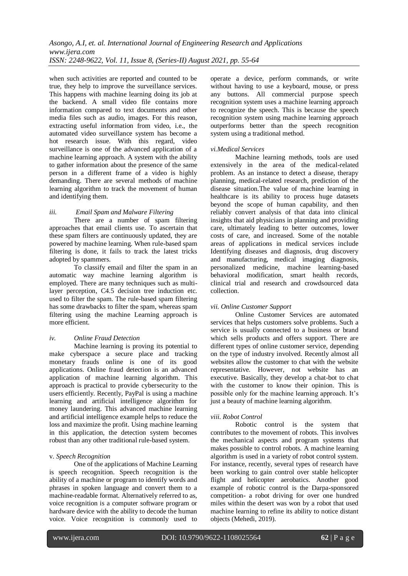when such activities are reported and counted to be true, they help to improve the surveillance services. This happens with machine learning doing its job at the backend. A small video file contains more information compared to text documents and other media files such as audio, images. For this reason, extracting useful information from video, i.e., the automated video surveillance system has become a hot research issue. With this regard, video surveillance is one of the advanced application of a machine learning approach. A system with the ability to gather information about the presence of the same person in a different frame of a video is highly demanding. There are several methods of machine learning algorithm to track the movement of human and identifying them.

# *iii. Email Spam and Malware Filtering*

There are a number of spam filtering approaches that email clients use. To ascertain that these spam filters are continuously updated, they are powered by machine learning. When rule-based spam filtering is done, it fails to track the latest tricks adopted by spammers.

To classify email and filter the spam in an automatic way [machine learning algorithm](https://ubuntupit.com/machine-learning-algorithms-for-both-newbies-and-professionals/) is employed. There are many techniques such as multilayer perception, C4.5 decision tree induction etc. used to filter the spam. The rule-based spam filtering has some drawbacks to filter the spam, whereas spam filtering using the machine Learning approach is more efficient.

## *iv. Online Fraud Detection*

Machine learning is proving its potential to make cyberspace a secure place and tracking monetary frauds online is one of its good applications. Online fraud detection is an advanced application of machine learning algorithm. This approach is practical to provide [cybersecurity](https://ubuntupit.com/cyber-security-challenge-15-cyber-threats-to-expect-in-the-near-future/) to the users efficiently. Recently, PayPal is using a machine learning and artificial intelligence algorithm for money laundering. This advanced machine learning and artificial intelligence example helps to reduce the loss and maximize the profit. Using machine learning in this application, the detection system becomes robust than any other traditional rule-based system.

#### v. *Speech Recognition*

One of the applications of Machine Learning is speech recognition. Speech recognition is the ability of a machine or program to identify words and phrases in spoken language and convert them to a machine-readable format. Alternatively referred to as, voice recognition is a computer software program or hardware device with the ability to decode the human voice. Voice recognition is commonly used to

operate a device, perform commands, or write without having to use a keyboard, mouse, or press any buttons. All commercial purpose speech recognition system uses a machine learning approach to recognize the speech. This is because the speech recognition system using machine learning approach outperforms better than the speech recognition system using a traditional method.

#### *vi.Medical Services*

Machine learning methods, tools are used extensively in the area of the medical-related problem. As an instance to detect a disease, therapy planning, medical-related research, prediction of the disease situation.The value of machine learning in healthcare is its ability to process huge datasets beyond the scope of human capability, and then reliably convert analysis of that data into clinical insights that aid physicians in planning and providing care, ultimately leading to better outcomes, lower costs of care, and increased. Some of the notable areas of applications in medical services include Identifying diseases and diagnosis, drug discovery and manufacturing, medical imaging diagnosis, personalized medicine, machine learning-based **behavioral modification** smart health records clinical trial and research and crowdsourced data collection.

## *vii. Online Customer Support*

Online Customer Services are automated services that helps customers solve problems. Such a service is usually connected to a business or brand which sells products and offers support. There are different types of online customer service, depending on the type of industry involved. Recently almost all websites allow the customer to chat with the website representative. However, not website has an executive. Basically, they develop a chat-bot to chat with the customer to know their opinion. This is possible only for the machine learning approach. It's just a beauty of machine learning algorithm.

## *viii. Robot Control*

Robotic control is the system that contributes to the movement of robots. This involves the mechanical aspects and program systems that makes possible to control robots. A machine learning algorithm is used in a variety of robot control system. For instance, recently, several types of research have been working to gain control over stable helicopter flight and helicopter aerobatics. Another good example of robotic control is the Darpa-sponsored competition- a robot driving for over one hundred miles within the desert was won by a robot that used machine learning to refine its ability to notice distant objects (Mehedi, 2019).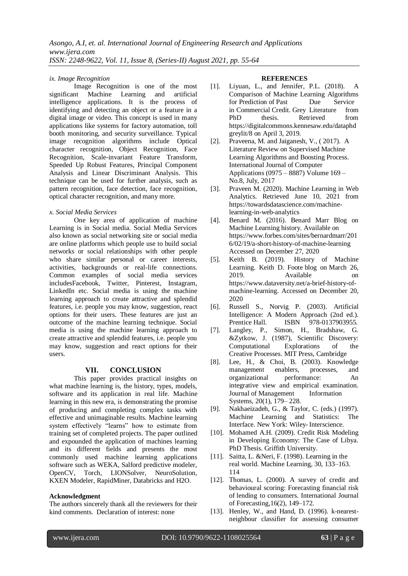#### *ix. Image Recognition*

Image Recognition is one of the most significant Machine Learning and artificial intelligence applications. It is the process of identifying and detecting an object or a feature in a digital image or video. This concept is used in many applications like systems for factory automation, toll booth monitoring, and security surveillance. Typical image recognition algorithms include Optical character recognition, Object Recognition, Face Recognition, Scale-invariant Feature Transform, Speeded Up Robust Features, Principal Component Analysis and Linear Discriminant Analysis. This technique can be used for further analysis, such as pattern recognition, face detection, face recognition, optical character recognition, and many more.

#### *x. Social Media Services*

One key area of application of machine Learning is in Social media. Social Media Services also known as social networking site or social media are online platforms which people use to build social networks or social relationships with other people who share similar personal or career interests, activities, backgrounds or real-life connections. Common examples of social media services includesFacebook, Twitter, Pinterest, Instagram, LinkedIn etc. Social media is using the machine learning approach to create attractive and splendid features, i.e. people you may know, suggestion, react options for their users. These features are just an outcome of the machine learning technique. Social media is using the machine learning approach to create attractive and splendid features, i.e. people you may know, suggestion and react options for their users.

## **VII. CONCLUSION**

This paper provides practical insights on what machine learning is, the history, types, models, software and its application in real life. Machine learning in this new era, is demonstrating the promise of producing and completing complex tasks with effective and unimaginable results. Machine learning system effectively "learns" how to estimate from training set of completed projects. The paper outlined and expounded the application of machines learning and its different fields and presents the most commonly used machine learning applications software such as WEKA, Salford predictive modeler, OpenCV, Torch, LIONSolver, NeuroSolution, KXEN Modeler, RapidMiner, Databricks and H2O.

## **Acknowledgment**

The authors sincerely thank all the reviewers for their kind comments. Declaration of interest: none

#### **REFERENCES**

- [1]. Liyuan, L., and Jennifer, P.L. (2018). A Comparison of Machine Learning Algorithms for Prediction of Past Due Service in Commercial Credit. Grey Literature from PhD thesis. Retrieved from [https://digitalcommons.kennesaw.edu/dataphd](https://digitalcommons.kennesaw.edu/dataphdgreylit/8%20on%20April%203) [greylit/8 on April 3,](https://digitalcommons.kennesaw.edu/dataphdgreylit/8%20on%20April%203) 2019.
- [2]. Praveena, M. and Jaiganesh, V., ( 2017). A Literature Review on Supervised Machine Learning Algorithms and Boosting Process. International Journal of Computer Applications (0975 – 8887) Volume 169 – No.8, July, 2017
- [3]. Praveen M. (2020). Machine Learning in Web Analytics. Retrieved June 10, 2021 from [https://towardsdatascience.com/machine](https://towardsdatascience.com/machine-learning-in-web-analytics)[learning-in-web-analytics](https://towardsdatascience.com/machine-learning-in-web-analytics)
- [4]. Benard M. (2016). Benard Marr Blog on Machine Learning history. Available on [https://www.forbes.com/sites/bernardmarr/201](https://www.forbes.com/sites/bernardmarr/2016/02/19/a-short-history-of-machine-learning) [6/02/19/a-short-history-of-machine-learning](https://www.forbes.com/sites/bernardmarr/2016/02/19/a-short-history-of-machine-learning) Accessed on December 27, 2020
- [5]. Keith B. (2019). History of Machine Learning. [Keith D. Foote](https://www.dataversity.net/author/keith-foote/) blog on [March 26,](https://www.dataversity.net/a-brief-history-of-machine-learning/)  [2019.](https://www.dataversity.net/a-brief-history-of-machine-learning/) Available on [https://www.dataversity.net/a-brief-history-of](https://www.dataversity.net/a-brief-history-of-machine-learning)[machine-learning.](https://www.dataversity.net/a-brief-history-of-machine-learning) Accessed on December 20, 2020
- [6]. Russell S., Norvig P. (2003). Artificial Intelligence: A Modern Approach (2nd ed.). Prentice Hall. **ISBN** 978-0137903955.
- [7]. Langley, P., Simon, H., Bradshaw, G. &Zytkow, J. (1987), Scientific Discovery: Computational Explorations of the Creative Processes. MIT Press, Cambridge
- [8]. Lee, H., & Choi, B. (2003). Knowledge management enablers, processes, and organizational performance: An integrative view and empirical examination. Journal of Management Information Systems, 20(1), 179– 228.
- [9]. Nakhaeizadeh, G., & Taylor, C. (eds.) (1997). Machine Learning and Statistics: The Interface. New York: Wiley- Interscience.
- [10]. Mohamed A.H. (2009). Credit Risk Modeling in Developing Economy: The Case of Libya. PhD Thesis. Griffith University.
- [11]. Saitta, L. &Neri, F. (1998). Learning in the real world. Machine Learning, 30, 133–163. 114
- [12]. Thomas, L. (2000). A survey of credit and behavioural scoring: Forecasting financial risk of lending to consumers. International Journal of Forecasting,16(2), 149–172.
- [13]. Henley, W., and Hand, D. (1996). k-nearestneighbour classifier for assessing consumer